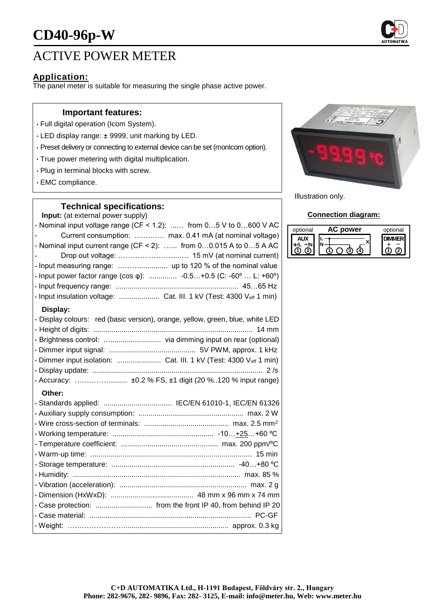

# ACTIVE POWER METER

## **Application:**

The panel meter is suitable for measuring the single phase active power.

### **Important features:**

- Full digital operation (Icom System).
- LED display range: ± 9999, unit marking by LED.
- Preset delivery or connecting to external device can be set (monIcom option).
- True power metering with digital multiplication.
- Plug in terminal blocks with screw.
- EMC compliance.

### **Technical specifications:**

**Input:** (at external power supply)

 $\cdot$  Nominal input voltage range (CF < 1.2): ...... from 0...5 V to 0...600 V AC • Current consumption: …..….…. max. 0.41 mA (at nominal voltage)  $\cdot$  Nominal input current range (CF < 2): ...... from 0...0.015 A to 0...5 A AC • Drop out voltage: …………..………...…. 15 mV (at nominal current) • Input measuring range: ……….............. up to 120 % of the nominal value • Input power factor range (cos φ): .............. -0.5…+0.5 (C: -60º … L: +60º) • Input frequency range: ............................................................. 45…65 Hz • Input insulation voltage: .................... Cat. III. 1 kV (Test: 4300 Veff 1 min) **Display:** • Display colours: red (basic version), orange, yellow, green, blue, white LED • Height of digits: ............................................................................... 14 mm • Brightness control: …......................... via dimming input on rear (optional) • Dimmer input signal: ........................................... 5V PWM, approx. 1 kHz • Dimmer input isolation: ........................... Cat. III. 1 kV (Test: 4300 Veff 1 min) • Display update: .................................................................................... 2 /s • Accuracy: ……………........ ±0.2 % FS, ±1 digit (20 %..120 % input range) **Other:** • Standards applied: .................................. IEC/EN 61010-1, IEC/EN 61326 • Auxiliary supply consumption: .................................................... max. 2 W • Wire cross-section of terminals: .......................................... max. 2.5 mm<sup>2</sup> • Working temperature: .................................................. -10…+25…+60 ºC • Temperature coefficient: ................................................ max. 200 ppm/ºC • Warm-up time: ................................................................................ 15 min • Storage temperature: ............................................................. -40…+80 ºC

• Humidity: ................................................................................... max. 85 % • Vibration (acceleration): ............................................................... max. 2 g • Dimension (HxWxD): ......................................... 48 mm x 96 mm x 74 mm • Case protection: ............................ from the front IP 40, from behind IP 20 • Case material: ................................................................................ PC-GF • Weight: ……………………................................................... approx. 0.3 kg



Illustration only.

#### **Connection diagram:**

| optional | power | optional |
|----------|-------|----------|
|          |       |          |